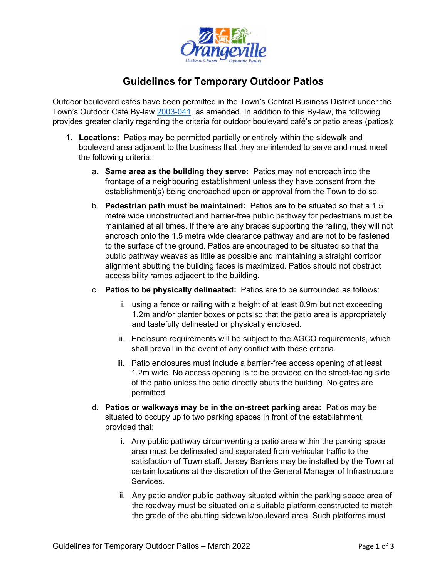

## **Guidelines for Temporary Outdoor Patios**

Outdoor boulevard cafés have been permitted in the Town's Central Business District under the Town's Outdoor Café By-law [2003-041,](https://www.orangeville.ca/Modules/Bylaws/Bylaw/Download/34f12421-e2d9-4613-b1f5-9b137c6b4a21) as amended. In addition to this By-law, the following provides greater clarity regarding the criteria for outdoor boulevard café's or patio areas (patios):

- 1. **Locations:** Patios may be permitted partially or entirely within the sidewalk and boulevard area adjacent to the business that they are intended to serve and must meet the following criteria:
	- a. **Same area as the building they serve:** Patios may not encroach into the frontage of a neighbouring establishment unless they have consent from the establishment(s) being encroached upon or approval from the Town to do so.
	- b. **Pedestrian path must be maintained:** Patios are to be situated so that a 1.5 metre wide unobstructed and barrier-free public pathway for pedestrians must be maintained at all times. If there are any braces supporting the railing, they will not encroach onto the 1.5 metre wide clearance pathway and are not to be fastened to the surface of the ground. Patios are encouraged to be situated so that the public pathway weaves as little as possible and maintaining a straight corridor alignment abutting the building faces is maximized. Patios should not obstruct accessibility ramps adjacent to the building.
	- c. **Patios to be physically delineated:** Patios are to be surrounded as follows:
		- i. using a fence or railing with a height of at least 0.9m but not exceeding 1.2m and/or planter boxes or pots so that the patio area is appropriately and tastefully delineated or physically enclosed.
		- ii. Enclosure requirements will be subject to the AGCO requirements, which shall prevail in the event of any conflict with these criteria.
		- iii. Patio enclosures must include a barrier-free access opening of at least 1.2m wide. No access opening is to be provided on the street-facing side of the patio unless the patio directly abuts the building. No gates are permitted.
	- d. **Patios or walkways may be in the on-street parking area:** Patios may be situated to occupy up to two parking spaces in front of the establishment, provided that:
		- i. Any public pathway circumventing a patio area within the parking space area must be delineated and separated from vehicular traffic to the satisfaction of Town staff. Jersey Barriers may be installed by the Town at certain locations at the discretion of the General Manager of Infrastructure Services.
		- ii. Any patio and/or public pathway situated within the parking space area of the roadway must be situated on a suitable platform constructed to match the grade of the abutting sidewalk/boulevard area. Such platforms must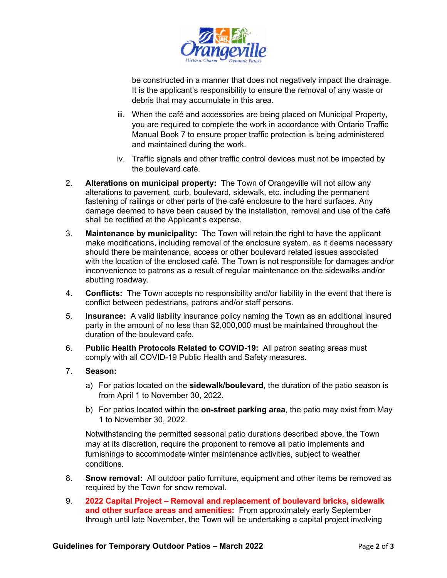

be constructed in a manner that does not negatively impact the drainage. It is the applicant's responsibility to ensure the removal of any waste or debris that may accumulate in this area.

- iii. When the café and accessories are being placed on Municipal Property, you are required to complete the work in accordance with Ontario Traffic Manual Book 7 to ensure proper traffic protection is being administered and maintained during the work.
- iv. Traffic signals and other traffic control devices must not be impacted by the boulevard café.
- 2. **Alterations on municipal property:** The Town of Orangeville will not allow any alterations to pavement, curb, boulevard, sidewalk, etc. including the permanent fastening of railings or other parts of the café enclosure to the hard surfaces. Any damage deemed to have been caused by the installation, removal and use of the café shall be rectified at the Applicant's expense.
- 3. **Maintenance by municipality:** The Town will retain the right to have the applicant make modifications, including removal of the enclosure system, as it deems necessary should there be maintenance, access or other boulevard related issues associated with the location of the enclosed café. The Town is not responsible for damages and/or inconvenience to patrons as a result of regular maintenance on the sidewalks and/or abutting roadway.
- 4. **Conflicts:** The Town accepts no responsibility and/or liability in the event that there is conflict between pedestrians, patrons and/or staff persons.
- 5. **Insurance:** A valid liability insurance policy naming the Town as an additional insured party in the amount of no less than \$2,000,000 must be maintained throughout the duration of the boulevard cafe.
- 6. **Public Health Protocols Related to COVID-19:** All patron seating areas must comply with all COVID-19 Public Health and Safety measures.

## 7. **Season:**

- a) For patios located on the **sidewalk/boulevard**, the duration of the patio season is from April 1 to November 30, 2022.
- b) For patios located within the **on-street parking area**, the patio may exist from May 1 to November 30, 2022.

Notwithstanding the permitted seasonal patio durations described above, the Town may at its discretion, require the proponent to remove all patio implements and furnishings to accommodate winter maintenance activities, subject to weather conditions.

- 8. **Snow removal:** All outdoor patio furniture, equipment and other items be removed as required by the Town for snow removal.
- 9. **2022 Capital Project – Removal and replacement of boulevard bricks, sidewalk and other surface areas and amenities:** From approximately early September through until late November, the Town will be undertaking a capital project involving